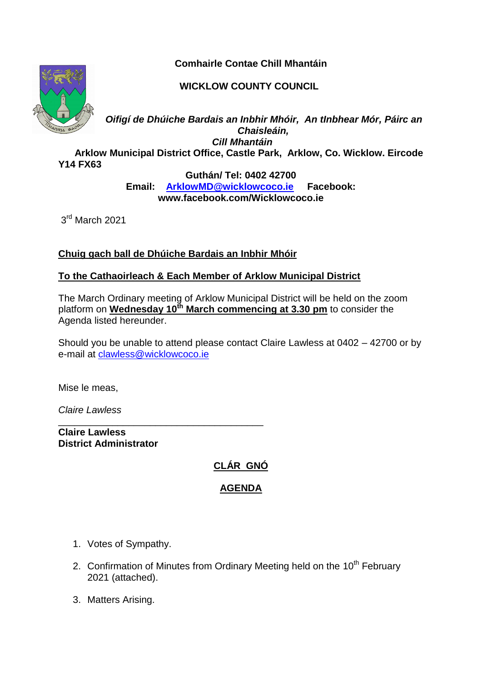**Comhairle Contae Chill Mhantáin**



**WICKLOW COUNTY COUNCIL**

*Oifigí de Dhúiche Bardais an Inbhir Mhóir, An tInbhear Mór, Páirc an Chaisleáin, Cill Mhantáin*

 **Arklow Municipal District Office, Castle Park, Arklow, Co. Wicklow. Eircode Y14 FX63** 

> **Guthán/ Tel: 0402 42700 Email: [ArklowMD@wicklowcoco.ie](mailto:ArklowMD@wicklowcoco.ie) Facebook: www.facebook.com/Wicklowcoco.ie**

3<sup>rd</sup> March 2021

**Chuig gach ball de Dhúiche Bardais an Inbhir Mhóir**

\_\_\_\_\_\_\_\_\_\_\_\_\_\_\_\_\_\_\_\_\_\_\_\_\_\_\_\_\_\_\_\_\_\_\_\_\_\_

## **To the Cathaoirleach & Each Member of Arklow Municipal District**

The March Ordinary meeting of Arklow Municipal District will be held on the zoom platform on **Wednesday 10th March commencing at 3.30 pm** to consider the Agenda listed hereunder.

Should you be unable to attend please contact Claire Lawless at 0402 – 42700 or by e-mail at [clawless@wicklowcoco.ie](mailto:clawless@wicklowcoco.ie)

Mise le meas,

*Claire Lawless*

**Claire Lawless District Administrator** 

## **CLÁR GNÓ**

## **AGENDA**

- 1. Votes of Sympathy.
- 2. Confirmation of Minutes from Ordinary Meeting held on the 10<sup>th</sup> February 2021 (attached).
- 3. Matters Arising.